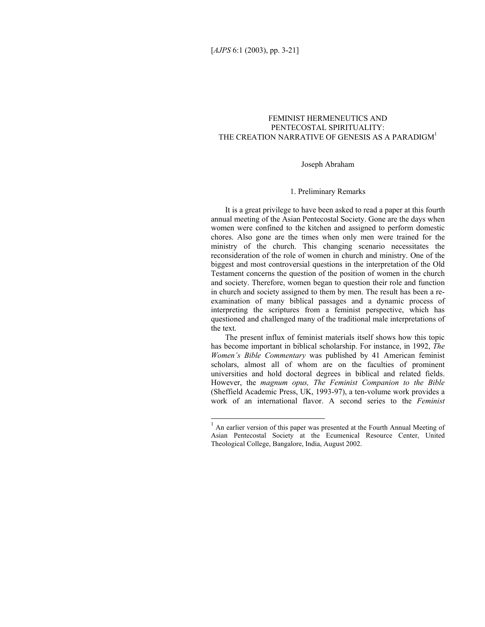# FEMINIST HERMENEUTICS AND PENTECOSTAL SPIRITUALITY: THE CREATION NARRATIVE OF GENESIS AS A PARADIGM<sup>1</sup>

### Joseph Abraham

# 1. Preliminary Remarks

It is a great privilege to have been asked to read a paper at this fourth annual meeting of the Asian Pentecostal Society. Gone are the days when women were confined to the kitchen and assigned to perform domestic chores. Also gone are the times when only men were trained for the ministry of the church. This changing scenario necessitates the reconsideration of the role of women in church and ministry. One of the biggest and most controversial questions in the interpretation of the Old Testament concerns the question of the position of women in the church and society. Therefore, women began to question their role and function in church and society assigned to them by men. The result has been a reexamination of many biblical passages and a dynamic process of interpreting the scriptures from a feminist perspective, which has questioned and challenged many of the traditional male interpretations of the text.

The present influx of feminist materials itself shows how this topic has become important in biblical scholarship. For instance, in 1992, *The Women's Bible Commentary* was published by 41 American feminist scholars, almost all of whom are on the faculties of prominent universities and hold doctoral degrees in biblical and related fields. However, the *magnum opus, The Feminist Companion to the Bible*  (Sheffield Academic Press, UK, 1993-97), a ten-volume work provides a work of an international flavor. A second series to the *Feminist* 

<sup>&</sup>lt;sup>1</sup> An earlier version of this paper was presented at the Fourth Annual Meeting of Asian Pentecostal Society at the Ecumenical Resource Center, United Theological College, Bangalore, India, August 2002.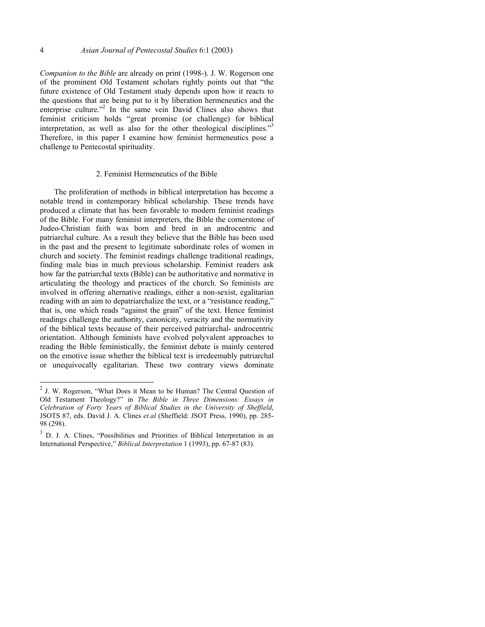*Companion to the Bible* are already on print (1998-). J. W. Rogerson one of the prominent Old Testament scholars rightly points out that "the future existence of Old Testament study depends upon how it reacts to the questions that are being put to it by liberation hermeneutics and the enterprise culture."<sup>2</sup> In the same vein David Clines also shows that feminist criticism holds "great promise (or challenge) for biblical interpretation, as well as also for the other theological disciplines."<sup>3</sup> Therefore, in this paper I examine how feminist hermeneutics pose a challenge to Pentecostal spirituality.

### 2. Feminist Hermeneutics of the Bible

The proliferation of methods in biblical interpretation has become a notable trend in contemporary biblical scholarship. These trends have produced a climate that has been favorable to modern feminist readings of the Bible. For many feminist interpreters, the Bible the cornerstone of Judeo-Christian faith was born and bred in an androcentric and patriarchal culture. As a result they believe that the Bible has been used in the past and the present to legitimate subordinate roles of women in church and society. The feminist readings challenge traditional readings, finding male bias in much previous scholarship. Feminist readers ask how far the patriarchal texts (Bible) can be authoritative and normative in articulating the theology and practices of the church. So feminists are involved in offering alternative readings, either a non-sexist, egalitarian reading with an aim to depatriarchalize the text, or a "resistance reading," that is, one which reads "against the grain" of the text. Hence feminist readings challenge the authority, canonicity, veracity and the normativity of the biblical texts because of their perceived patriarchal- androcentric orientation. Although feminists have evolved polyvalent approaches to reading the Bible feministically, the feminist debate is mainly centered on the emotive issue whether the biblical text is irredeemably patriarchal or unequivocally egalitarian. These two contrary views dominate

<sup>&</sup>lt;sup>2</sup> J. W. Rogerson, "What Does it Mean to be Human? The Central Question of Old Testament Theology?" in *The Bible in Three Dimensions: Essays in Celebration of Forty Years of Biblical Studies in the University of Sheffield*, JSOTS 87, eds. David J. A. Clines *et.al* (Sheffield: JSOT Press, 1990), pp. 285- 98 (298).

<sup>3</sup> D. J. A. Clines, "Possibilities and Priorities of Biblical Interpretation in an International Perspective," *Biblical Interpretation* 1 (1993), pp. 67-87 (83).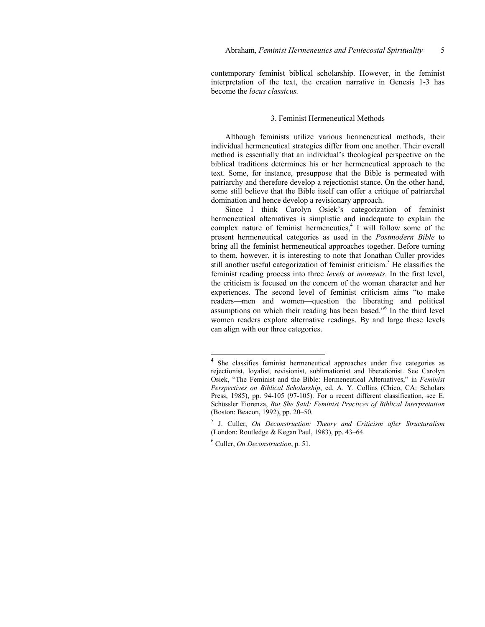contemporary feminist biblical scholarship. However, in the feminist interpretation of the text, the creation narrative in Genesis 1-3 has become the *locus classicus.* 

### 3. Feminist Hermeneutical Methods

Although feminists utilize various hermeneutical methods, their individual hermeneutical strategies differ from one another. Their overall method is essentially that an individual's theological perspective on the biblical traditions determines his or her hermeneutical approach to the text. Some, for instance, presuppose that the Bible is permeated with patriarchy and therefore develop a rejectionist stance. On the other hand, some still believe that the Bible itself can offer a critique of patriarchal domination and hence develop a revisionary approach.

Since I think Carolyn Osiek's categorization of feminist hermeneutical alternatives is simplistic and inadequate to explain the complex nature of feminist hermeneutics,<sup>4</sup> I will follow some of the present hermeneutical categories as used in the *Postmodern Bible* to bring all the feminist hermeneutical approaches together. Before turning to them, however, it is interesting to note that Jonathan Culler provides still another useful categorization of feminist criticism.<sup>5</sup> He classifies the feminist reading process into three *levels* or *moments*. In the first level, the criticism is focused on the concern of the woman character and her experiences. The second level of feminist criticism aims "to make readers—men and women—question the liberating and political assumptions on which their reading has been based."<sup>6</sup> In the third level women readers explore alternative readings. By and large these levels can align with our three categories.

 4 She classifies feminist hermeneutical approaches under five categories as rejectionist, loyalist, revisionist, sublimationist and liberationist. See Carolyn Osiek, "The Feminist and the Bible: Hermeneutical Alternatives," in *Feminist Perspectives on Biblical Scholarship*, ed. A. Y. Collins (Chico, CA: Scholars Press, 1985), pp. 94-105 (97-105). For a recent different classification, see E. Schüssler Fiorenza, *But She Said: Feminist Practices of Biblical Interpretation* (Boston: Beacon, 1992), pp. 20–50.

<sup>5</sup> J. Culler, *On Deconstruction: Theory and Criticism after Structuralism* (London: Routledge & Kegan Paul, 1983), pp. 43–64.

<sup>6</sup> Culler, *On Deconstruction*, p. 51.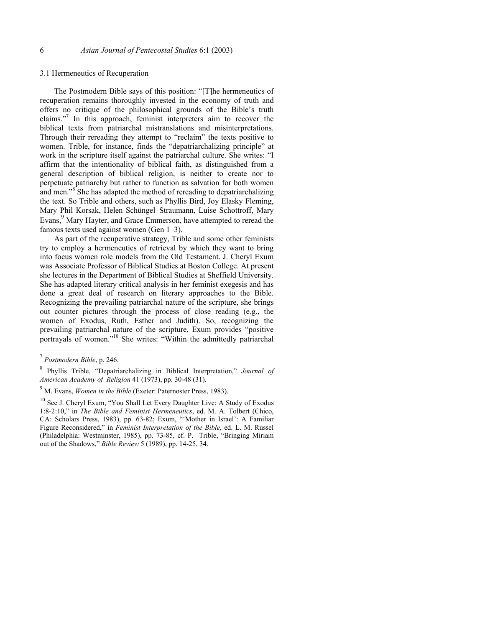#### 3.1 Hermeneutics of Recuperation

The Postmodern Bible says of this position: "[T]he hermeneutics of recuperation remains thoroughly invested in the economy of truth and offers no critique of the philosophical grounds of the Bible's truth claims."<sup>7</sup> In this approach, feminist interpreters aim to recover the biblical texts from patriarchal mistranslations and misinterpretations. Through their rereading they attempt to "reclaim" the texts positive to women. Trible, for instance, finds the "depatriarchalizing principle" at work in the scripture itself against the patriarchal culture. She writes: "I affirm that the intentionality of biblical faith, as distinguished from a general description of biblical religion, is neither to create nor to perpetuate patriarchy but rather to function as salvation for both women and men."<sup>8</sup> She has adapted the method of rereading to depatriarchalizing the text. So Trible and others, such as Phyllis Bird, Joy Elasky Fleming, Mary Phil Korsak, Helen Schüngel–Straumann, Luise Schottroff, Mary Evans,<sup>9</sup> Mary Hayter, and Grace Emmerson, have attempted to reread the famous texts used against women (Gen 1–3).

As part of the recuperative strategy, Trible and some other feminists try to employ a hermeneutics of retrieval by which they want to bring into focus women role models from the Old Testament. J. Cheryl Exum was Associate Professor of Biblical Studies at Boston College. At present she lectures in the Department of Biblical Studies at Sheffield University. She has adapted literary critical analysis in her feminist exegesis and has done a great deal of research on literary approaches to the Bible. Recognizing the prevailing patriarchal nature of the scripture, she brings out counter pictures through the process of close reading (e.g., the women of Exodus, Ruth, Esther and Judith). So, recognizing the prevailing patriarchal nature of the scripture, Exum provides "positive portrayals of women."10 She writes: "Within the admittedly patriarchal

<sup>7</sup> *Postmodern Bible*, p. 246.

<sup>8</sup> Phyllis Trible, "Depatriarchalizing in Biblical Interpretation," *Journal of American Academy of Religion* 41 (1973), pp. 30-48 (31).

<sup>9</sup> M. Evans, *Women in the Bible* (Exeter: Paternoster Press, 1983).

<sup>&</sup>lt;sup>10</sup> See J. Cheryl Exum, "You Shall Let Every Daughter Live: A Study of Exodus 1:8-2:10," in *The Bible and Feminist Hermeneutics*, ed. M. A. Tolbert (Chico, CA: Scholars Press, 1983), pp. 63-82; Exum, "'Mother in Israel': A Familiar Figure Reconsidered," in *Feminist Interpretation of the Bible*, ed. L. M. Russel (Philadelphia: Westminster, 1985), pp. 73-85, cf. P. Trible, "Bringing Miriam out of the Shadows," *Bible Review* 5 (1989), pp. 14-25, 34.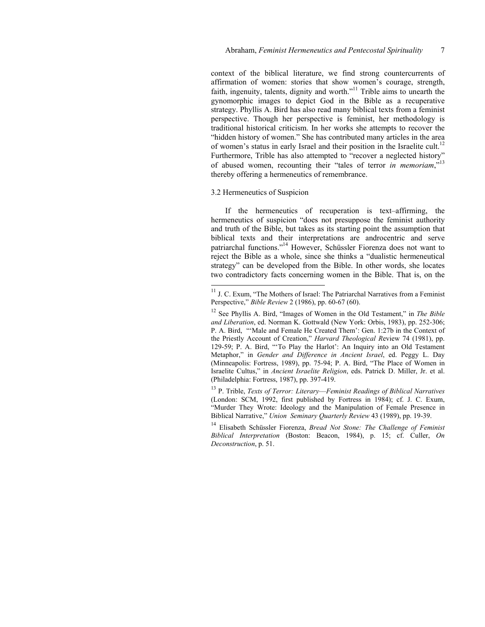context of the biblical literature, we find strong countercurrents of affirmation of women: stories that show women's courage, strength, faith, ingenuity, talents, dignity and worth."<sup>11</sup> Trible aims to unearth the gynomorphic images to depict God in the Bible as a recuperative strategy. Phyllis A. Bird has also read many biblical texts from a feminist perspective. Though her perspective is feminist, her methodology is traditional historical criticism. In her works she attempts to recover the "hidden history of women." She has contributed many articles in the area of women's status in early Israel and their position in the Israelite cult.<sup>12</sup> Furthermore, Trible has also attempted to "recover a neglected history" of abused women, recounting their "tales of terror *in memoriam*."<sup>13</sup> thereby offering a hermeneutics of remembrance.

### 3.2 Hermeneutics of Suspicion

l

If the hermeneutics of recuperation is text–affirming, the hermeneutics of suspicion "does not presuppose the feminist authority and truth of the Bible, but takes as its starting point the assumption that biblical texts and their interpretations are androcentric and serve patriarchal functions."14 However, Schüssler Fiorenza does not want to reject the Bible as a whole, since she thinks a "dualistic hermeneutical strategy" can be developed from the Bible. In other words, she locates two contradictory facts concerning women in the Bible. That is, on the

13 P. Trible, *Texts of Terror: Literary––Feminist Readings of Biblical Narratives* (London: SCM, 1992, first published by Fortress in 1984); cf. J. C. Exum, "Murder They Wrote: Ideology and the Manipulation of Female Presence in Biblical Narrative," *Union Seminary Quarterly Review* 43 (1989), pp. 19-39.

14 Elisabeth Schüssler Fiorenza, *Bread Not Stone: The Challenge of Feminist Biblical Interpretation* (Boston: Beacon, 1984), p. 15; cf. Culler, *On Deconstruction*, p. 51.

 $11$  J. C. Exum, "The Mothers of Israel: The Patriarchal Narratives from a Feminist Perspective," *Bible Review* 2 (1986), pp. 60-67 (60).

<sup>12</sup> See Phyllis A. Bird, "Images of Women in the Old Testament," in *The Bible and Liberation*, ed. Norman K. Gottwald (New York: Orbis, 1983), pp. 252-306; P. A. Bird, "'Male and Female He Created Them': Gen. 1:27b in the Context of the Priestly Account of Creation," *Harvard Theological R*eview 74 (1981), pp. 129-59; P. A. Bird, "'To Play the Harlot': An Inquiry into an Old Testament Metaphor," in *Gender and Difference in Ancient Israel*, ed. Peggy L. Day (Minneapolis: Fortress, 1989), pp. 75-94; P. A. Bird, "The Place of Women in Israelite Cultus," in *Ancient Israelite Religion*, eds. Patrick D. Miller, Jr. et al. (Philadelphia: Fortress, 1987), pp. 397-419.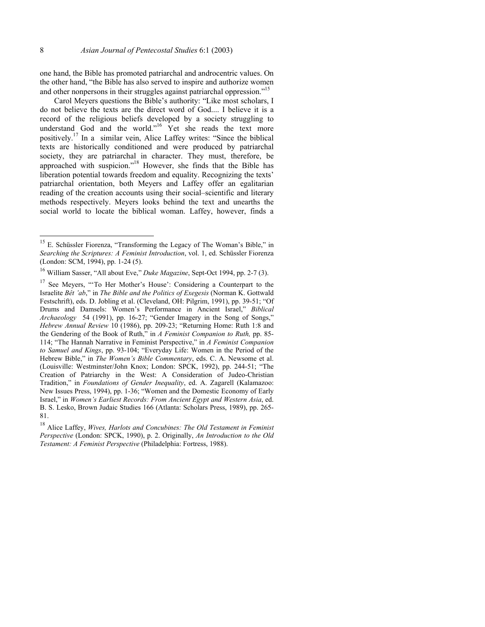l

one hand, the Bible has promoted patriarchal and androcentric values. On the other hand, "the Bible has also served to inspire and authorize women and other nonpersons in their struggles against patriarchal oppression."<sup>15</sup>

Carol Meyers questions the Bible's authority: "Like most scholars, I do not believe the texts are the direct word of God.... I believe it is a record of the religious beliefs developed by a society struggling to understand God and the world."<sup>16</sup> Yet she reads the text more positively.17 In a similar vein, Alice Laffey writes: "Since the biblical texts are historically conditioned and were produced by patriarchal society, they are patriarchal in character. They must, therefore, be approached with suspicion."18 However, she finds that the Bible has liberation potential towards freedom and equality. Recognizing the texts' patriarchal orientation, both Meyers and Laffey offer an egalitarian reading of the creation accounts using their social–scientific and literary methods respectively. Meyers looks behind the text and unearths the social world to locate the biblical woman. Laffey, however, finds a

 $15$  E. Schüssler Fiorenza, "Transforming the Legacy of The Woman's Bible," in *Searching the Scriptures: A Feminist Introduction*, vol. 1, ed. Schüssler Fiorenza (London: SCM, 1994), pp. 1-24 (5).

<sup>16</sup> William Sasser, "All about Eve," *Duke Magazine*, Sept-Oct 1994, pp. 2-7 (3).

<sup>&</sup>lt;sup>17</sup> See Meyers, "To Her Mother's House': Considering a Counterpart to the Israelite *Bêt 'ab*," in *The Bible and the Politics of Exegesis* (Norman K. Gottwald Festschrift), eds. D. Jobling et al. (Cleveland, OH: Pilgrim, 1991), pp. 39-51; "Of Drums and Damsels: Women's Performance in Ancient Israel," *Biblical Archaeology* 54 (1991), pp. 16-27; "Gender Imagery in the Song of Songs," *Hebrew Annual Review* 10 (1986), pp. 209-23; "Returning Home: Ruth 1:8 and the Gendering of the Book of Ruth," in *A Feminist Companion to Ruth,* pp. 85- 114; "The Hannah Narrative in Feminist Perspective," in *A Feminist Companion to Samuel and Kings*, pp. 93-104; "Everyday Life: Women in the Period of the Hebrew Bible," in *The Women's Bible Commentary*, eds. C. A. Newsome et al. (Louisville: Westminster/John Knox; London: SPCK, 1992), pp. 244-51; "The Creation of Patriarchy in the West: A Consideration of Judeo-Christian Tradition," in *Foundations of Gender Inequality*, ed. A. Zagarell (Kalamazoo: New Issues Press, 1994), pp. 1-36; "Women and the Domestic Economy of Early Israel," in *Women's Earliest Records: From Ancient Egypt and Western Asia*, ed. B. S. Lesko, Brown Judaic Studies 166 (Atlanta: Scholars Press, 1989), pp. 265- 81.

<sup>18</sup> Alice Laffey, *Wives, Harlots and Concubines: The Old Testament in Feminist Perspective* (London: SPCK, 1990), p. 2. Originally, *An Introduction to the Old Testament: A Feminist Perspective* (Philadelphia: Fortress, 1988).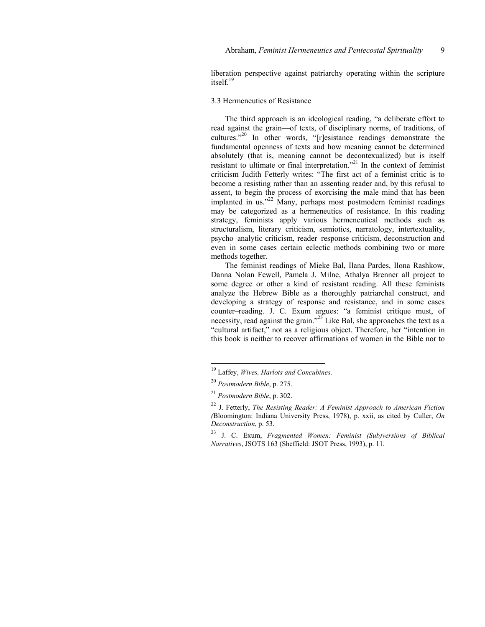liberation perspective against patriarchy operating within the scripture  $itself$ <sup>19</sup>

# 3.3 Hermeneutics of Resistance

The third approach is an ideological reading, "a deliberate effort to read against the grain—of texts, of disciplinary norms, of traditions, of cultures."20 In other words, "[r]esistance readings demonstrate the fundamental openness of texts and how meaning cannot be determined absolutely (that is, meaning cannot be decontexualized) but is itself resistant to ultimate or final interpretation."<sup>21</sup> In the context of feminist criticism Judith Fetterly writes: "The first act of a feminist critic is to become a resisting rather than an assenting reader and, by this refusal to assent, to begin the process of exorcising the male mind that has been implanted in us."<sup>22</sup> Many, perhaps most postmodern feminist readings may be categorized as a hermeneutics of resistance. In this reading strategy, feminists apply various hermeneutical methods such as structuralism, literary criticism, semiotics, narratology, intertextuality, psycho–analytic criticism, reader–response criticism, deconstruction and even in some cases certain eclectic methods combining two or more methods together.

The feminist readings of Mieke Bal, Ilana Pardes, Ilona Rashkow, Danna Nolan Fewell, Pamela J. Milne, Athalya Brenner all project to some degree or other a kind of resistant reading. All these feminists analyze the Hebrew Bible as a thoroughly patriarchal construct, and developing a strategy of response and resistance, and in some cases counter–reading. J. C. Exum argues: "a feminist critique must, of necessity, read against the grain."<sup>23</sup> Like Bal, she approaches the text as a "cultural artifact," not as a religious object. Therefore, her "intention in this book is neither to recover affirmations of women in the Bible nor to

<sup>19</sup> Laffey, *Wives, Harlots and Concubines.*

<sup>20</sup> *Postmodern Bible*, p. 275.

<sup>21</sup> *Postmodern Bible*, p. 302.

<sup>22</sup> J. Fetterly, *The Resisting Reader: A Feminist Approach to American Fiction (*Bloomington: Indiana University Press, 1978), p. xxii, as cited by Culler, *On Deconstruction*, p. 53.

<sup>23</sup> J. C. Exum, *Fragmented Women: Feminist (Sub)versions of Biblical Narratives*, JSOTS 163 (Sheffield: JSOT Press, 1993), p. 11.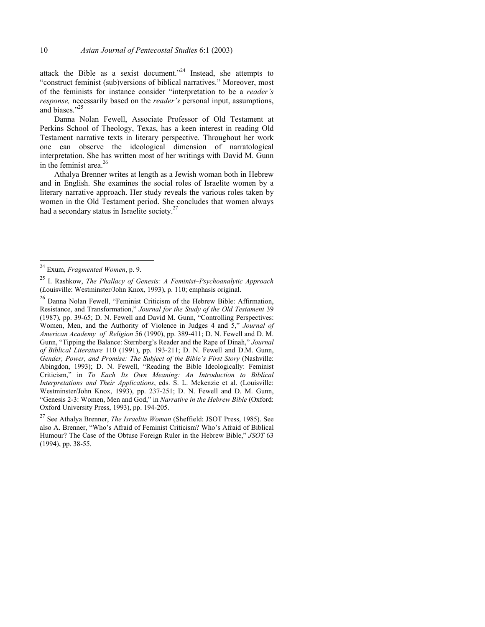attack the Bible as a sexist document."24 Instead, she attempts to "construct feminist (sub)versions of biblical narratives." Moreover, most of the feminists for instance consider "interpretation to be a *reader's response,* necessarily based on the *reader's* personal input, assumptions, and biases."25

Danna Nolan Fewell, Associate Professor of Old Testament at Perkins School of Theology, Texas, has a keen interest in reading Old Testament narrative texts in literary perspective. Throughout her work one can observe the ideological dimension of narratological interpretation. She has written most of her writings with David M. Gunn in the feminist area. $26$ 

Athalya Brenner writes at length as a Jewish woman both in Hebrew and in English. She examines the social roles of Israelite women by a literary narrative approach. Her study reveals the various roles taken by women in the Old Testament period. She concludes that women always had a secondary status in Israelite society.<sup>27</sup>

l

27 See Athalya Brenner, *The Israelite Woman* (Sheffield: JSOT Press, 1985). See also A. Brenner, "Who's Afraid of Feminist Criticism? Who's Afraid of Biblical Humour? The Case of the Obtuse Foreign Ruler in the Hebrew Bible," *JSOT* 63 (1994), pp. 38-55.

<sup>24</sup> Exum, *Fragmented Women*, p. 9.

<sup>25</sup> I. Rashkow, *The Phallacy of Genesis: A Feminist–Psychoanalytic Approach*  (*L*ouisville: Westminster/John Knox, 1993), p. 110; emphasis original.

<sup>26</sup> Danna Nolan Fewell, "Feminist Criticism of the Hebrew Bible: Affirmation, Resistance, and Transformation," *Journal for the Study of the Old Testament* 39 (1987), pp. 39-65; D. N. Fewell and David M. Gunn, "Controlling Perspectives: Women, Men, and the Authority of Violence in Judges 4 and 5," *Journal of American Academy of Religion* 56 (1990), pp. 389-411; D. N. Fewell and D. M. Gunn, "Tipping the Balance: Sternberg's Reader and the Rape of Dinah," *Journal of Biblical Literature* 110 (1991), pp. 193-211; D. N. Fewell and D.M. Gunn, *Gender, Power, and Promise: The Subject of the Bible's First Story* (Nashville: Abingdon, 1993); D. N. Fewell, "Reading the Bible Ideologically: Feminist Criticism," in *To Each Its Own Meaning: An Introduction to Biblical Interpretations and Their Applications*, eds. S. L. Mckenzie et al. (Louisville: Westminster/John Knox, 1993), pp. 237-251; D. N. Fewell and D. M. Gunn, "Genesis 2-3: Women, Men and God," in *Narrative in the Hebrew Bible* (Oxford: Oxford University Press, 1993), pp. 194-205.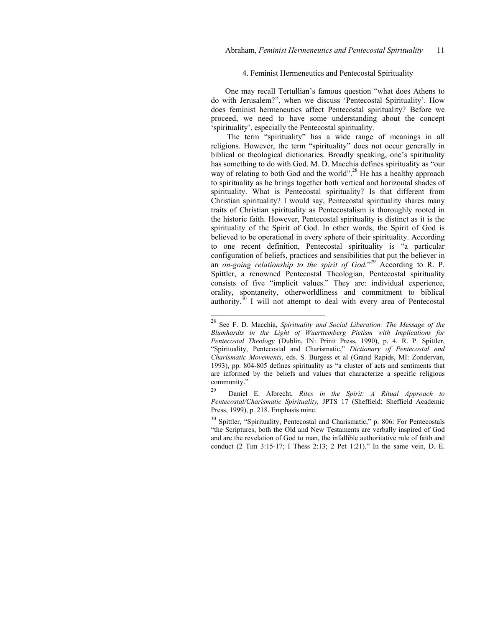### 4. Feminist Hermeneutics and Pentecostal Spirituality

One may recall Tertullian's famous question "what does Athens to do with Jerusalem?", when we discuss 'Pentecostal Spirituality'. How does feminist hermeneutics affect Pentecostal spirituality? Before we proceed, we need to have some understanding about the concept 'spirituality', especially the Pentecostal spirituality.

 The term "spirituality" has a wide range of meanings in all religions. However, the term "spirituality" does not occur generally in biblical or theological dictionaries. Broadly speaking, one's spirituality has something to do with God. M. D. Macchia defines spirituality as "our way of relating to both God and the world".<sup>28</sup> He has a healthy approach to spirituality as he brings together both vertical and horizontal shades of spirituality. What is Pentecostal spirituality? Is that different from Christian spirituality? I would say, Pentecostal spirituality shares many traits of Christian spirituality as Pentecostalism is thoroughly rooted in the historic faith. However, Pentecostal spirituality is distinct as it is the spirituality of the Spirit of God. In other words, the Spirit of God is believed to be operational in every sphere of their spirituality. According to one recent definition, Pentecostal spirituality is "a particular configuration of beliefs, practices and sensibilities that put the believer in an *on-going relationship to the spirit of God.*" 29 According to R. P. Spittler, a renowned Pentecostal Theologian, Pentecostal spirituality consists of five "implicit values." They are: individual experience, orality, spontaneity, otherworldliness and commitment to biblical authority.30 I will not attempt to deal with every area of Pentecostal

<sup>28</sup> See F. D. Macchia, *Spirituality and Social Liberation: The Message of the Blumhardts in the Light of Wuerttemberg Pietism with Implications for Pentecostal Theology* (Dublin, IN: Prinit Press, 1990), p. 4. R. P. Spittler, "Spirituality, Pentecostal and Charismatic," *Dictionary of Pentecostal and Charismatic Movements*, eds. S. Burgess et al (Grand Rapids, MI: Zondervan, 1993), pp. 804-805 defines spirituality as "a cluster of acts and sentiments that are informed by the beliefs and values that characterize a specific religious community."

<sup>29</sup> Daniel E. Albrecht, *Rites in the Spirit: A Ritual Approach to Pentecostal/Charismatic Spirituality,* JPTS 17 (Sheffield: Sheffield Academic Press, 1999), p. 218. Emphasis mine.

<sup>&</sup>lt;sup>30</sup> Spittler, "Spirituality, Pentecostal and Charismatic," p. 806: For Pentecostals "the Scriptures, both the Old and New Testaments are verbally inspired of God and are the revelation of God to man, the infallible authoritative rule of faith and conduct (2 Tim 3:15-17; I Thess 2:13; 2 Pet 1:21)." In the same vein, D. E.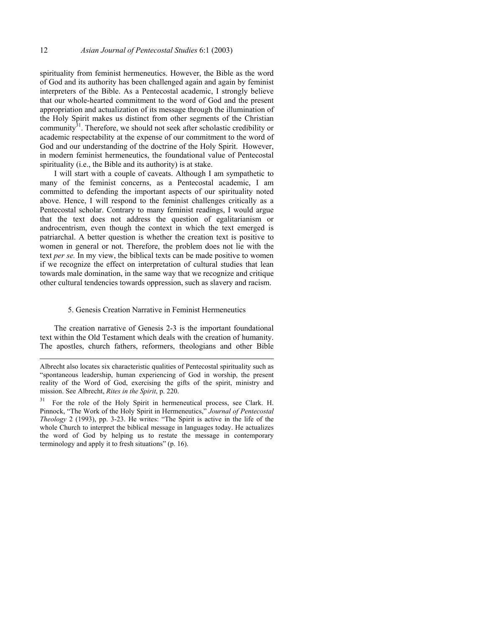spirituality from feminist hermeneutics. However, the Bible as the word of God and its authority has been challenged again and again by feminist interpreters of the Bible. As a Pentecostal academic, I strongly believe that our whole-hearted commitment to the word of God and the present appropriation and actualization of its message through the illumination of the Holy Spirit makes us distinct from other segments of the Christian community $31$ . Therefore, we should not seek after scholastic credibility or academic respectability at the expense of our commitment to the word of God and our understanding of the doctrine of the Holy Spirit. However, in modern feminist hermeneutics, the foundational value of Pentecostal spirituality (i.e., the Bible and its authority) is at stake.

I will start with a couple of caveats. Although I am sympathetic to many of the feminist concerns, as a Pentecostal academic, I am committed to defending the important aspects of our spirituality noted above. Hence, I will respond to the feminist challenges critically as a Pentecostal scholar. Contrary to many feminist readings, I would argue that the text does not address the question of egalitarianism or androcentrism, even though the context in which the text emerged is patriarchal. A better question is whether the creation text is positive to women in general or not. Therefore, the problem does not lie with the text *per se.* In my view, the biblical texts can be made positive to women if we recognize the effect on interpretation of cultural studies that lean towards male domination, in the same way that we recognize and critique other cultural tendencies towards oppression, such as slavery and racism.

## 5. Genesis Creation Narrative in Feminist Hermeneutics

The creation narrative of Genesis 2-3 is the important foundational text within the Old Testament which deals with the creation of humanity. The apostles, church fathers, reformers, theologians and other Bible

Albrecht also locates six characteristic qualities of Pentecostal spirituality such as "spontaneous leadership, human experiencing of God in worship, the present reality of the Word of God, exercising the gifts of the spirit, ministry and mission. See Albrecht, *Rites in the Spirit*, p. 220.

<sup>&</sup>lt;sup>31</sup> For the role of the Holy Spirit in hermeneutical process, see Clark. H. Pinnock, "The Work of the Holy Spirit in Hermeneutics," *Journal of Pentecostal Theology* 2 (1993), pp. 3-23. He writes: "The Spirit is active in the life of the whole Church to interpret the biblical message in languages today. He actualizes the word of God by helping us to restate the message in contemporary terminology and apply it to fresh situations" (p. 16).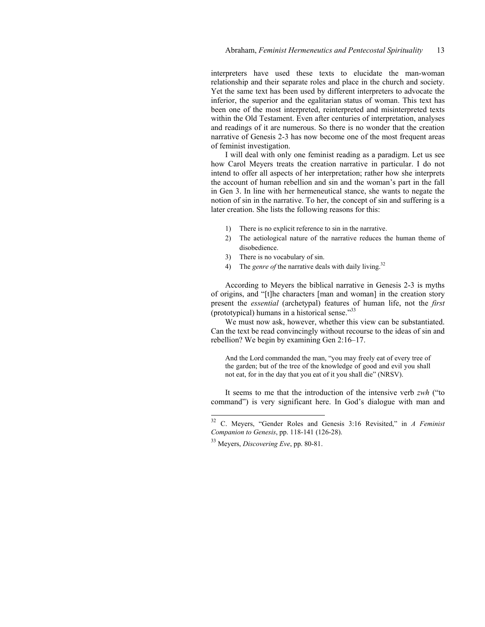interpreters have used these texts to elucidate the man-woman relationship and their separate roles and place in the church and society. Yet the same text has been used by different interpreters to advocate the inferior, the superior and the egalitarian status of woman. This text has been one of the most interpreted, reinterpreted and misinterpreted texts within the Old Testament. Even after centuries of interpretation, analyses and readings of it are numerous. So there is no wonder that the creation narrative of Genesis 2-3 has now become one of the most frequent areas of feminist investigation.

I will deal with only one feminist reading as a paradigm. Let us see how Carol Meyers treats the creation narrative in particular. I do not intend to offer all aspects of her interpretation; rather how she interprets the account of human rebellion and sin and the woman's part in the fall in Gen 3. In line with her hermeneutical stance, she wants to negate the notion of sin in the narrative. To her, the concept of sin and suffering is a later creation. She lists the following reasons for this:

- 1) There is no explicit reference to sin in the narrative.
- 2) The aetiological nature of the narrative reduces the human theme of disobedience.
- 3) There is no vocabulary of sin.
- 4) The *genre of* the narrative deals with daily living.<sup>32</sup>

According to Meyers the biblical narrative in Genesis 2-3 is myths of origins, and "[t]he characters [man and woman] in the creation story present the *essential* (archetypal) features of human life, not the *first*  (prototypical) humans in a historical sense."33

We must now ask, however, whether this view can be substantiated. Can the text be read convincingly without recourse to the ideas of sin and rebellion? We begin by examining Gen 2:16–17.

And the Lord commanded the man, "you may freely eat of every tree of the garden; but of the tree of the knowledge of good and evil you shall not eat, for in the day that you eat of it you shall die" (NRSV).

It seems to me that the introduction of the intensive verb *zwh* ("to command") is very significant here. In God's dialogue with man and

 $32$ <sup>32</sup> C. Meyers, "Gender Roles and Genesis 3:16 Revisited," in *A Feminist Companion to Genesis*, pp. 118-141 (126-28).

<sup>33</sup> Meyers, *Discovering Eve*, pp. 80-81.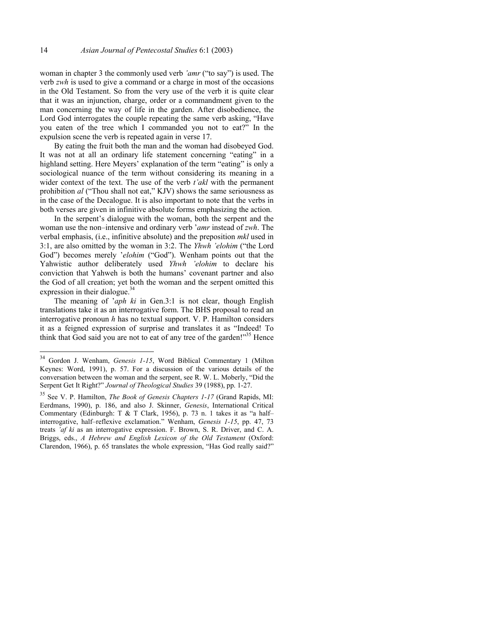woman in chapter 3 the commonly used verb *'amr* ("to say") is used. The verb *zwh* is used to give a command or a charge in most of the occasions in the Old Testament. So from the very use of the verb it is quite clear that it was an injunction, charge, order or a commandment given to the man concerning the way of life in the garden. After disobedience, the Lord God interrogates the couple repeating the same verb asking, "Have you eaten of the tree which I commanded you not to eat?" In the expulsion scene the verb is repeated again in verse 17.

By eating the fruit both the man and the woman had disobeyed God. It was not at all an ordinary life statement concerning "eating" in a highland setting. Here Meyers' explanation of the term "eating" is only a sociological nuance of the term without considering its meaning in a wider context of the text. The use of the verb *t'akl* with the permanent prohibition *al* ("Thou shall not eat," KJV) shows the same seriousness as in the case of the Decalogue. It is also important to note that the verbs in both verses are given in infinitive absolute forms emphasizing the action.

In the serpent's dialogue with the woman, both the serpent and the woman use the non–intensive and ordinary verb '*amr* instead of *zwh*. The verbal emphasis, (i.e., infinitive absolute) and the preposition *mkl* used in 3:1, are also omitted by the woman in 3:2. The *Yhwh 'elohim* ("the Lord God") becomes merely '*elohim* ("God"). Wenham points out that the Yahwistic author deliberately used *Yhwh 'elohim* to declare his conviction that Yahweh is both the humans' covenant partner and also the God of all creation; yet both the woman and the serpent omitted this expression in their dialogue. $34$ 

The meaning of '*aph ki* in Gen.3:1 is not clear, though English translations take it as an interrogative form. The BHS proposal to read an interrogative pronoun *h* has no textual support. V. P. Hamilton considers it as a feigned expression of surprise and translates it as "Indeed! To think that God said you are not to eat of any tree of the garden!"<sup>35</sup> Hence

 $34\,$ 34 Gordon J. Wenham, *Genesis 1-15*, Word Biblical Commentary 1 (Milton Keynes: Word, 1991), p. 57. For a discussion of the various details of the conversation between the woman and the serpent, see R. W. L. Moberly, "Did the Serpent Get It Right?" *Journal of Theological Studies* 39 (1988), pp. 1-27.

<sup>35</sup> See V. P. Hamilton, *The Book of Genesis Chapters 1-17* (Grand Rapids, MI: Eerdmans, 1990), p. 186, and also J. Skinner, *Genesis*, International Critical Commentary (Edinburgh: T & T Clark, 1956), p. 73 n. 1 takes it as "a half– interrogative, half–reflexive exclamation." Wenham, *Genesis 1-15*, pp. 47, 73 treats *'af ki* as an interrogative expression. F. Brown, S. R. Driver, and C. A. Briggs, eds., *A Hebrew and English Lexicon of the Old Testament* (Oxford: Clarendon, 1966), p. 65 translates the whole expression, "Has God really said?"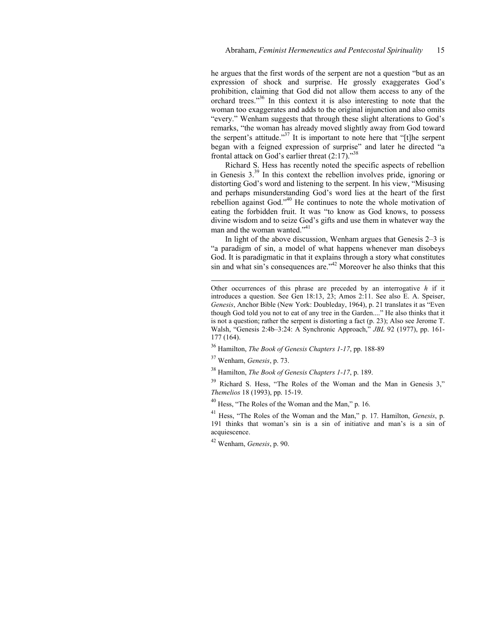he argues that the first words of the serpent are not a question "but as an expression of shock and surprise. He grossly exaggerates God's prohibition, claiming that God did not allow them access to any of the orchard trees."36 In this context it is also interesting to note that the woman too exaggerates and adds to the original injunction and also omits "every." Wenham suggests that through these slight alterations to God's remarks, "the woman has already moved slightly away from God toward the serpent's attitude."<sup>37</sup> It is important to note here that "[t]he serpent began with a feigned expression of surprise" and later he directed "a frontal attack on God's earlier threat  $(2:17)$ ."<sup>38</sup>

Richard S. Hess has recently noted the specific aspects of rebellion in Genesis 3.39 In this context the rebellion involves pride, ignoring or distorting God's word and listening to the serpent. In his view, "Misusing and perhaps misunderstanding God's word lies at the heart of the first rebellion against God."40 He continues to note the whole motivation of eating the forbidden fruit. It was "to know as God knows, to possess divine wisdom and to seize God's gifts and use them in whatever way the man and the woman wanted."<sup>41</sup>

In light of the above discussion, Wenham argues that Genesis 2–3 is "a paradigm of sin, a model of what happens whenever man disobeys God. It is paradigmatic in that it explains through a story what constitutes sin and what sin's consequences are." $42$  Moreover he also thinks that this

36 Hamilton, *The Book of Genesis Chapters 1-17*, pp. 188-89

37 Wenham, *Genesis*, p. 73.

l

38 Hamilton, *The Book of Genesis Chapters 1-17*, p. 189.

<sup>39</sup> Richard S. Hess, "The Roles of the Woman and the Man in Genesis 3," *Themelios* 18 (1993), pp. 15-19.

40 Hess, "The Roles of the Woman and the Man," p. 16.

41 Hess, "The Roles of the Woman and the Man," p. 17. Hamilton, *Genesis*, p. 191 thinks that woman's sin is a sin of initiative and man's is a sin of acquiescence.

42 Wenham, *Genesis*, p. 90.

Other occurrences of this phrase are preceded by an interrogative *h* if it introduces a question. See Gen 18:13, 23; Amos 2:11. See also E. A. Speiser, *Genesis*, Anchor Bible (New York: Doubleday, 1964), p. 21 translates it as "Even though God told you not to eat of any tree in the Garden...." He also thinks that it is not a question; rather the serpent is distorting a fact (p. 23); Also see Jerome T. Walsh, "Genesis 2:4b–3:24: A Synchronic Approach," *JBL* 92 (1977), pp. 161- 177 (164).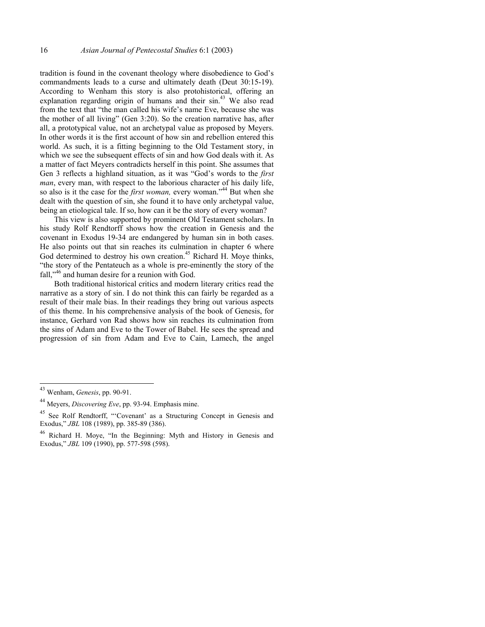tradition is found in the covenant theology where disobedience to God's commandments leads to a curse and ultimately death (Deut 30:15-19). According to Wenham this story is also protohistorical, offering an explanation regarding origin of humans and their sin.<sup>43</sup> We also read from the text that "the man called his wife's name Eve, because she was the mother of all living" (Gen 3:20). So the creation narrative has, after all, a prototypical value, not an archetypal value as proposed by Meyers. In other words it is the first account of how sin and rebellion entered this world. As such, it is a fitting beginning to the Old Testament story, in which we see the subsequent effects of sin and how God deals with it. As a matter of fact Meyers contradicts herself in this point. She assumes that Gen 3 reflects a highland situation, as it was "God's words to the *first man*, every man, with respect to the laborious character of his daily life, so also is it the case for the *first woman*, every woman."<sup>44</sup> But when she dealt with the question of sin, she found it to have only archetypal value, being an etiological tale. If so, how can it be the story of every woman?

This view is also supported by prominent Old Testament scholars. In his study Rolf Rendtorff shows how the creation in Genesis and the covenant in Exodus 19-34 are endangered by human sin in both cases. He also points out that sin reaches its culmination in chapter 6 where God determined to destroy his own creation.<sup>45</sup> Richard H. Moye thinks, "the story of the Pentateuch as a whole is pre-eminently the story of the fall,"<sup>46</sup> and human desire for a reunion with God.

Both traditional historical critics and modern literary critics read the narrative as a story of sin. I do not think this can fairly be regarded as a result of their male bias. In their readings they bring out various aspects of this theme. In his comprehensive analysis of the book of Genesis, for instance, Gerhard von Rad shows how sin reaches its culmination from the sins of Adam and Eve to the Tower of Babel. He sees the spread and progression of sin from Adam and Eve to Cain, Lamech, the angel

<sup>43</sup> Wenham, *Genesis*, pp. 90-91.

<sup>44</sup> Meyers, *Discovering Eve*, pp. 93-94. Emphasis mine.

<sup>&</sup>lt;sup>45</sup> See Rolf Rendtorff, "'Covenant' as a Structuring Concept in Genesis and Exodus," *JBL* 108 (1989), pp. 385-89 (386).

<sup>46</sup> Richard H. Moye, "In the Beginning: Myth and History in Genesis and Exodus," *JBL* 109 (1990), pp. 577-598 (598).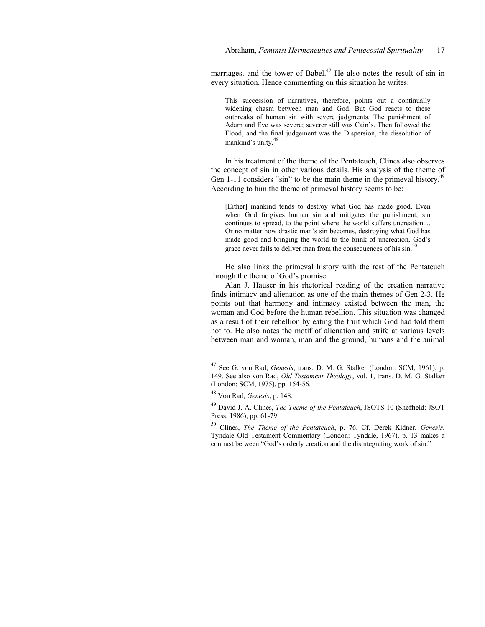marriages, and the tower of Babel.<sup>47</sup> He also notes the result of sin in every situation. Hence commenting on this situation he writes:

This succession of narratives, therefore, points out a continually widening chasm between man and God. But God reacts to these outbreaks of human sin with severe judgments. The punishment of Adam and Eve was severe; severer still was Cain's. Then followed the Flood, and the final judgement was the Dispersion, the dissolution of mankind's unity.<sup>48</sup>

In his treatment of the theme of the Pentateuch, Clines also observes the concept of sin in other various details. His analysis of the theme of Gen 1-11 considers "sin" to be the main theme in the primeval history. $4^4$ According to him the theme of primeval history seems to be:

[Either] mankind tends to destroy what God has made good. Even when God forgives human sin and mitigates the punishment, sin continues to spread, to the point where the world suffers uncreation.... Or no matter how drastic man's sin becomes, destroying what God has made good and bringing the world to the brink of uncreation, God's grace never fails to deliver man from the consequences of his sin.<sup>5</sup>

He also links the primeval history with the rest of the Pentateuch through the theme of God's promise.

Alan J. Hauser in his rhetorical reading of the creation narrative finds intimacy and alienation as one of the main themes of Gen 2-3. He points out that harmony and intimacy existed between the man, the woman and God before the human rebellion. This situation was changed as a result of their rebellion by eating the fruit which God had told them not to. He also notes the motif of alienation and strife at various levels between man and woman, man and the ground, humans and the animal

<sup>47</sup> See G. von Rad, *Genesis*, trans. D. M. G. Stalker (London: SCM, 1961), p. 149. See also von Rad, *Old Testament Theology*, vol. 1, trans. D. M. G. Stalker (London: SCM, 1975), pp. 154-56.

<sup>48</sup> Von Rad, *Genesis*, p. 148.

<sup>49</sup> David J. A. Clines, *The Theme of the Pentateuch*, JSOTS 10 (Sheffield: JSOT Press, 1986), pp. 61-79.

<sup>50</sup> Clines, *The Theme of the Pentateuch*, p. 76. Cf. Derek Kidner, *Genesis*, Tyndale Old Testament Commentary (London: Tyndale, 1967), p. 13 makes a contrast between "God's orderly creation and the disintegrating work of sin."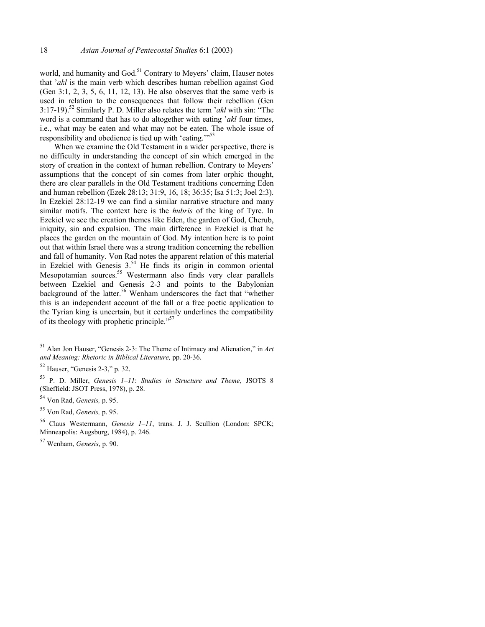world, and humanity and God.<sup>51</sup> Contrary to Meyers' claim, Hauser notes that '*akl* is the main verb which describes human rebellion against God (Gen 3:1, 2, 3, 5, 6, 11, 12, 13). He also observes that the same verb is used in relation to the consequences that follow their rebellion (Gen 3:17-19).52 Similarly P. D. Miller also relates the term '*akl* with sin: "The word is a command that has to do altogether with eating '*akl* four times, i.e., what may be eaten and what may not be eaten. The whole issue of responsibility and obedience is tied up with 'eating."<sup>53</sup>

When we examine the Old Testament in a wider perspective, there is no difficulty in understanding the concept of sin which emerged in the story of creation in the context of human rebellion. Contrary to Meyers' assumptions that the concept of sin comes from later orphic thought, there are clear parallels in the Old Testament traditions concerning Eden and human rebellion (Ezek 28:13; 31:9, 16, 18; 36:35; Isa 51:3; Joel 2:3). In Ezekiel 28:12-19 we can find a similar narrative structure and many similar motifs. The context here is the *hubris* of the king of Tyre. In Ezekiel we see the creation themes like Eden, the garden of God, Cherub, iniquity, sin and expulsion. The main difference in Ezekiel is that he places the garden on the mountain of God. My intention here is to point out that within Israel there was a strong tradition concerning the rebellion and fall of humanity. Von Rad notes the apparent relation of this material in Ezekiel with Genesis  $3^{54}$  He finds its origin in common oriental Mesopotamian sources.<sup>55</sup> Westermann also finds very clear parallels between Ezekiel and Genesis 2-3 and points to the Babylonian background of the latter.<sup>56</sup> Wenham underscores the fact that "whether this is an independent account of the fall or a free poetic application to the Tyrian king is uncertain, but it certainly underlines the compatibility of its theology with prophetic principle."57

<sup>51</sup> Alan Jon Hauser, "Genesis 2-3: The Theme of Intimacy and Alienation," in *Art and Meaning: Rhetoric in Biblical Literature,* pp. 20-36.

 $52$  Hauser, "Genesis 2-3," p. 32.

<sup>53</sup> P. D. Miller, *Genesis 1–11*: *Studies in Structure and Theme*, JSOTS 8 (Sheffield: JSOT Press, 1978), p. 28.

<sup>54</sup> Von Rad, *Genesis,* p. 95.

<sup>55</sup> Von Rad, *Genesis,* p. 95.

<sup>56</sup> Claus Westermann, *Genesis 1–11*, trans. J. J. Scullion (London: SPCK; Minneapolis: Augsburg, 1984), p. 246.

<sup>57</sup> Wenham, *Genesis*, p. 90.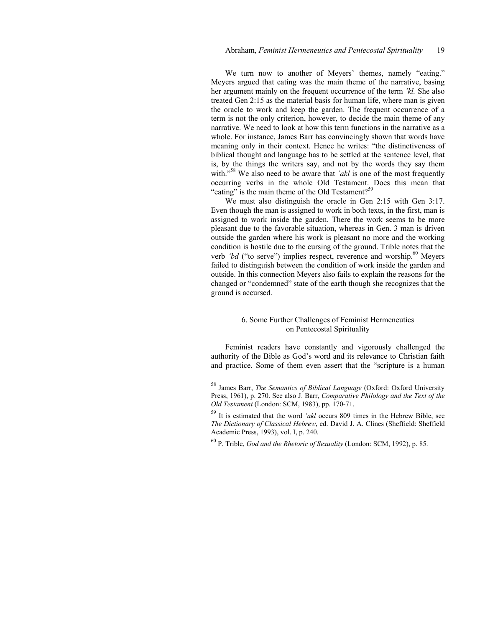We turn now to another of Meyers' themes, namely "eating." Meyers argued that eating was the main theme of the narrative, basing her argument mainly on the frequent occurrence of the term *'kl.* She also treated Gen 2:15 as the material basis for human life, where man is given the oracle to work and keep the garden. The frequent occurrence of a term is not the only criterion, however, to decide the main theme of any narrative. We need to look at how this term functions in the narrative as a whole. For instance, James Barr has convincingly shown that words have meaning only in their context. Hence he writes: "the distinctiveness of biblical thought and language has to be settled at the sentence level, that is, by the things the writers say, and not by the words they say them with."<sup>58</sup> We also need to be aware that *'akl* is one of the most frequently occurring verbs in the whole Old Testament. Does this mean that "eating" is the main theme of the Old Testament?<sup>59</sup>

We must also distinguish the oracle in Gen 2:15 with Gen 3:17. Even though the man is assigned to work in both texts, in the first, man is assigned to work inside the garden. There the work seems to be more pleasant due to the favorable situation, whereas in Gen. 3 man is driven outside the garden where his work is pleasant no more and the working condition is hostile due to the cursing of the ground. Trible notes that the verb 'bd ("to serve") implies respect, reverence and worship.<sup>60</sup> Meyers failed to distinguish between the condition of work inside the garden and outside. In this connection Meyers also fails to explain the reasons for the changed or "condemned" state of the earth though she recognizes that the ground is accursed.

# 6. Some Further Challenges of Feminist Hermeneutics on Pentecostal Spirituality

Feminist readers have constantly and vigorously challenged the authority of the Bible as God's word and its relevance to Christian faith and practice. Some of them even assert that the "scripture is a human

<sup>58</sup> James Barr, *The Semantics of Biblical Language* (Oxford: Oxford University Press, 1961), p. 270. See also J. Barr, *Comparative Philology and the Text of the Old Testament* (London: SCM, 1983), pp. 170-71.

<sup>59</sup> It is estimated that the word *'akl* occurs 809 times in the Hebrew Bible, see *The Dictionary of Classical Hebrew*, ed. David J. A. Clines (Sheffield: Sheffield Academic Press, 1993), vol. I, p. 240.

<sup>60</sup> P. Trible, *God and the Rhetoric of Sexuality* (London: SCM, 1992), p. 85.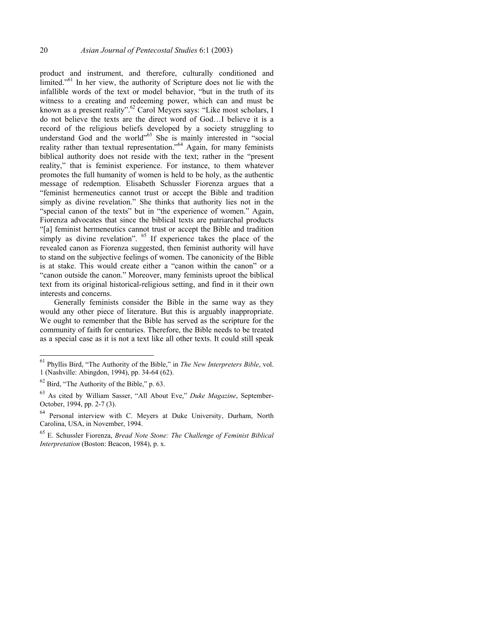product and instrument, and therefore, culturally conditioned and limited."<sup>61</sup> In her view, the authority of Scripture does not lie with the infallible words of the text or model behavior, "but in the truth of its witness to a creating and redeeming power, which can and must be known as a present reality".<sup>62</sup> Carol Meyers says: "Like most scholars, I do not believe the texts are the direct word of God…I believe it is a record of the religious beliefs developed by a society struggling to understand God and the world"<sup>63</sup> She is mainly interested in "social reality rather than textual representation."<sup>64</sup> Again, for many feminists biblical authority does not reside with the text; rather in the "present reality," that is feminist experience. For instance, to them whatever promotes the full humanity of women is held to be holy, as the authentic message of redemption. Elisabeth Schussler Fiorenza argues that a "feminist hermeneutics cannot trust or accept the Bible and tradition simply as divine revelation." She thinks that authority lies not in the "special canon of the texts" but in "the experience of women." Again, Fiorenza advocates that since the biblical texts are patriarchal products "[a] feminist hermeneutics cannot trust or accept the Bible and tradition simply as divine revelation". <sup>65</sup> If experience takes the place of the revealed canon as Fiorenza suggested, then feminist authority will have to stand on the subjective feelings of women. The canonicity of the Bible is at stake. This would create either a "canon within the canon" or a "canon outside the canon." Moreover, many feminists uproot the biblical text from its original historical-religious setting, and find in it their own interests and concerns.

Generally feminists consider the Bible in the same way as they would any other piece of literature. But this is arguably inappropriate. We ought to remember that the Bible has served as the scripture for the community of faith for centuries. Therefore, the Bible needs to be treated as a special case as it is not a text like all other texts. It could still speak

<sup>61</sup> Phyllis Bird, "The Authority of the Bible," in *The New Interpreters Bible*, vol. 1 (Nashville: Abingdon, 1994), pp. 34-64 (62).

 $62$  Bird, "The Authority of the Bible," p. 63.

<sup>63</sup> As cited by William Sasser, "All About Eve," *Duke Magazine*, September-October, 1994, pp. 2-7 (3).

<sup>&</sup>lt;sup>64</sup> Personal interview with C. Meyers at Duke University, Durham, North Carolina, USA, in November, 1994.

<sup>65</sup> E. Schussler Fiorenza, *Bread Note Stone: The Challenge of Feminist Biblical Interpretation* (Boston: Beacon, 1984), p. x.